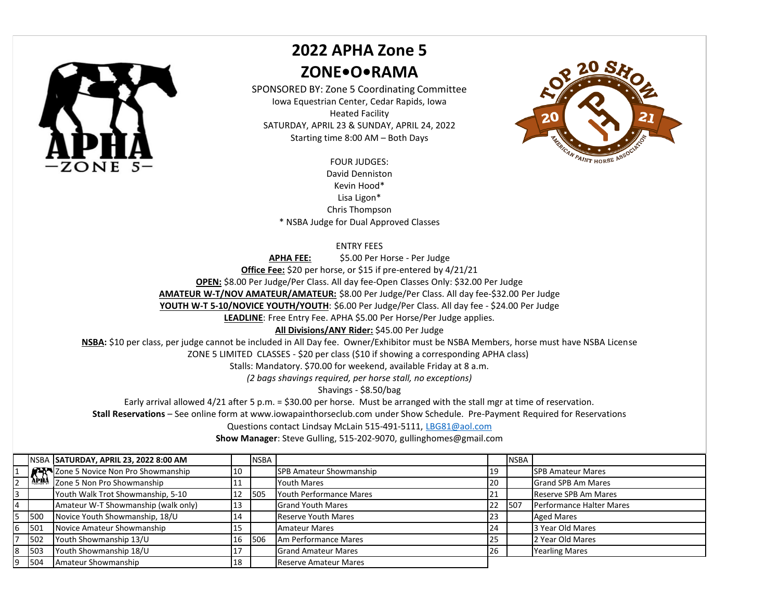

## **2022 APHA Zone 5 ZONE•O•RAMA**

SPONSORED BY: Zone 5 Coordinating Committee Iowa Equestrian Center, Cedar Rapids, Iowa Heated Facility SATURDAY, APRIL 23 & SUNDAY, APRIL 24, 2022 Starting time 8:00 AM – Both Days

> FOUR JUDGES: David Denniston Kevin Hood\* Lisa Ligon\* Chris Thompson \* NSBA Judge for Dual Approved Classes

## ENTRY FEES

**APHA FEE:** \$5.00 Per Horse - Per Judge **Office Fee:** \$20 per horse, or \$15 if pre-entered by 4/21/21 **OPEN:** \$8.00 Per Judge/Per Class. All day fee-Open Classes Only: \$32.00 Per Judge **AMATEUR W-T/NOV AMATEUR/AMATEUR:** \$8.00 Per Judge/Per Class. All day fee-\$32.00 Per Judge

YOUTH W-T 5-10/NOVICE YOUTH/YOUTH: \$6.00 Per Judge/Per Class. All day fee - \$24.00 Per Judge

**LEADLINE**: Free Entry Fee. APHA \$5.00 Per Horse/Per Judge applies.

## **All Divisions/ANY Rider:** \$45.00 Per Judge

**NSBA:** \$10 per class, per judge cannot be included in All Day fee. Owner/Exhibitor must be NSBA Members, horse must have NSBA License

ZONE 5 LIMITED CLASSES - \$20 per class (\$10 if showing a corresponding APHA class)

Stalls: Mandatory. \$70.00 for weekend, available Friday at 8 a.m.

*(2 bags shavings required, per horse stall, no exceptions)*

Shavings - \$8.50/bag

Early arrival allowed 4/21 after 5 p.m. = \$30.00 per horse. Must be arranged with the stall mgr at time of reservation.

**Stall Reservations** – See online form at www.iowapainthorseclub.com under Show Schedule. Pre-Payment Required for Reservations

Questions contact Lindsay McLain 515-491-5111, LBG81@aol.com

**Show Manager**: Steve Gulling, 515-202-9070, gullinghomes@gmail.com

|   |     | NSBA SATURDAY, APRIL 23, 2022 8:00 AM                                            |    | <b>NSBA</b> |                                |           | <b>NSBA</b> |                           |
|---|-----|----------------------------------------------------------------------------------|----|-------------|--------------------------------|-----------|-------------|---------------------------|
|   |     | <b>EXAMPLE OF STATE STATE SHOWSHIP APPLARED STATE STATE STATE STATE SHOWSHIP</b> | 10 |             | SPB Amateur Showmanship        | 19        |             | <b>ISPB Amateur Mares</b> |
|   |     |                                                                                  | 11 |             | <b>Youth Mares</b>             | 120       |             | <b>Grand SPB Am Mares</b> |
|   |     | Youth Walk Trot Showmanship, 5-10                                                | 12 | 1505        | <b>Youth Performance Mares</b> | 121       |             | Reserve SPB Am Mares      |
|   |     | Amateur W-T Showmanship (walk only)                                              | 13 |             | <b>Grand Youth Mares</b>       | 22        | 507         | Performance Halter Mares  |
|   | 500 | Novice Youth Showmanship, 18/U                                                   | 14 |             | <b>Reserve Youth Mares</b>     | 123       |             | <b>Aged Mares</b>         |
|   | 501 | Novice Amateur Showmanship                                                       | 15 |             | Amateur Mares                  | 24        |             | 3 Year Old Mares          |
|   | 502 | Youth Showmanship 13/U                                                           | 16 | 506         | <b>JAm Performance Mares</b>   | 25        |             | 2 Year Old Mares          |
| 8 | 503 | Youth Showmanship 18/U                                                           | 17 |             | <b>Grand Amateur Mares</b>     | <b>26</b> |             | <b>Yearling Mares</b>     |
| Q | 504 | Amateur Showmanship                                                              | 18 |             | <b>Reserve Amateur Mares</b>   |           |             |                           |

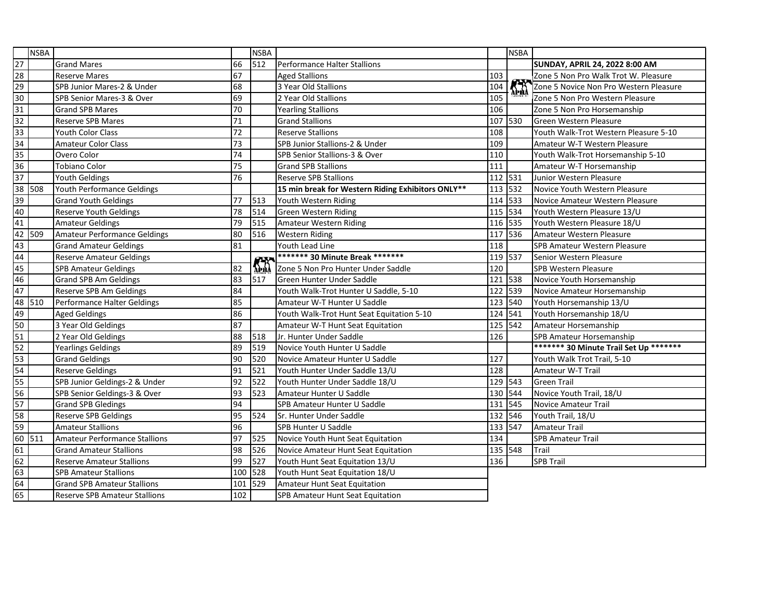|                 | <b>NSBA</b> |                                      |     | <b>NSBA</b>           |                                                   |         | <b>NSBA</b> |                                        |
|-----------------|-------------|--------------------------------------|-----|-----------------------|---------------------------------------------------|---------|-------------|----------------------------------------|
| $\overline{27}$ |             | <b>Grand Mares</b>                   | 66  | 512                   | Performance Halter Stallions                      |         |             | SUNDAY, APRIL 24, 2022 8:00 AM         |
| $\overline{28}$ |             | <b>Reserve Mares</b>                 | 67  |                       | <b>Aged Stallions</b>                             | 103     |             | Zone 5 Non Pro Walk Trot W. Pleasure   |
| 29              |             | SPB Junior Mares-2 & Under           | 68  |                       | 3 Year Old Stallions                              | 104     | <b>Khi</b>  | Zone 5 Novice Non Pro Western Pleasure |
| 30              |             | SPB Senior Mares-3 & Over            | 69  |                       | 2 Year Old Stallions                              | 105     |             | Zone 5 Non Pro Western Pleasure        |
| 31              |             | <b>Grand SPB Mares</b>               | 70  |                       | <b>Yearling Stallions</b>                         | 106     |             | Zone 5 Non Pro Horsemanship            |
| 32              |             | <b>Reserve SPB Mares</b>             | 71  |                       | <b>Grand Stallions</b>                            | 107 530 |             | Green Western Pleasure                 |
| 33              |             | <b>Youth Color Class</b>             | 72  |                       | <b>Reserve Stallions</b>                          | 108     |             | Youth Walk-Trot Western Pleasure 5-10  |
| 34              |             | <b>Amateur Color Class</b>           | 73  |                       | SPB Junior Stallions-2 & Under                    | 109     |             | Amateur W-T Western Pleasure           |
| 35              |             | Overo Color                          | 74  |                       | SPB Senior Stallions-3 & Over                     | 110     |             | Youth Walk-Trot Horsemanship 5-10      |
| 36              |             | <b>Tobiano Color</b>                 | 75  |                       | <b>Grand SPB Stallions</b>                        | 111     |             | Amateur W-T Horsemanship               |
| 37              |             | Youth Geldings                       | 76  |                       | <b>Reserve SPB Stallions</b>                      | 112 531 |             | Junior Western Pleasure                |
| 38              | 508         | Youth Performance Geldings           |     |                       | 15 min break for Western Riding Exhibitors ONLY** | 113     | 532         | Novice Youth Western Pleasure          |
| 39              |             | <b>Grand Youth Geldings</b>          | 77  | 513                   | Youth Western Riding                              | 114 533 |             | Novice Amateur Western Pleasure        |
| 40              |             | <b>Reserve Youth Geldings</b>        | 78  | 514                   | <b>Green Western Riding</b>                       | 115 534 |             | Youth Western Pleasure 13/U            |
| 41              |             | <b>Amateur Geldings</b>              | 79  | 515                   | Amateur Western Riding                            | 116 535 |             | Youth Western Pleasure 18/U            |
| 42              | 509         | Amateur Performance Geldings         | 80  | 516                   | <b>Western Riding</b>                             | 117     | 536         | Amateur Western Pleasure               |
| 43              |             | <b>Grand Amateur Geldings</b>        | 81  |                       | Youth Lead Line                                   | 118     |             | SPB Amateur Western Pleasure           |
| 44              |             | <b>Reserve Amateur Geldings</b>      |     |                       | ******* 30 Minute Break ********                  | 119 537 |             | Senior Western Pleasure                |
| 45              |             | <b>SPB Amateur Geldings</b>          | 82  | $\sum_{n=1}^{\infty}$ | Zone 5 Non Pro Hunter Under Saddle                | 120     |             | <b>SPB Western Pleasure</b>            |
| 46              |             | <b>Grand SPB Am Geldings</b>         | 83  | 517                   | Green Hunter Under Saddle                         | 121     | 538         | Novice Youth Horsemanship              |
| 47              |             | Reserve SPB Am Geldings              | 84  |                       | Youth Walk-Trot Hunter U Saddle, 5-10             | 122 539 |             | Novice Amateur Horsemanship            |
| 48              | 510         | Performance Halter Geldings          | 85  |                       | Amateur W-T Hunter U Saddle                       | 123 540 |             | Youth Horsemanship 13/U                |
| 49              |             | <b>Aged Geldings</b>                 | 86  |                       | Youth Walk-Trot Hunt Seat Equitation 5-10         | 124 541 |             | Youth Horsemanship 18/U                |
| 50              |             | 3 Year Old Geldings                  | 87  |                       | Amateur W-T Hunt Seat Equitation                  | 125 542 |             | Amateur Horsemanship                   |
| $\overline{51}$ |             | 2 Year Old Geldings                  | 88  | 518                   | Jr. Hunter Under Saddle                           | 126     |             | SPB Amateur Horsemanship               |
| 52              |             | <b>Yearlings Geldings</b>            | 89  | 519                   | Novice Youth Hunter U Saddle                      |         |             | ******* 30 Minute Trail Set Up ******* |
| 53              |             | <b>Grand Geldings</b>                | 90  | 520                   | Novice Amateur Hunter U Saddle                    | 127     |             | Youth Walk Trot Trail, 5-10            |
| 54              |             | <b>Reserve Geldings</b>              | 91  | 521                   | Youth Hunter Under Saddle 13/U                    | 128     |             | Amateur W-T Trail                      |
| 55              |             | SPB Junior Geldings-2 & Under        | 92  | 522                   | Youth Hunter Under Saddle 18/U                    | 129 543 |             | <b>Green Trail</b>                     |
| 56              |             | SPB Senior Geldings-3 & Over         | 93  | 523                   | Amateur Hunter U Saddle                           | 130 544 |             | Novice Youth Trail, 18/U               |
| 57              |             | <b>Grand SPB Gledings</b>            | 94  |                       | SPB Amateur Hunter U Saddle                       | 131 545 |             | Novice Amateur Trail                   |
| 58              |             | <b>Reserve SPB Geldings</b>          | 95  | 524                   | Sr. Hunter Under Saddle                           | 132 546 |             | Youth Trail, 18/U                      |
| 59              |             | <b>Amateur Stallions</b>             | 96  |                       | SPB Hunter U Saddle                               | 133 547 |             | <b>Amateur Trail</b>                   |
| 60              | 511         | Amateur Performance Stallions        | 97  | 525                   | Novice Youth Hunt Seat Equitation                 | 134     |             | <b>SPB Amateur Trail</b>               |
| 61              |             | <b>Grand Amateur Stallions</b>       | 98  | 526                   | Novice Amateur Hunt Seat Equitation               | 135 548 |             | Trail                                  |
| 62              |             | <b>Reserve Amateur Stallions</b>     | 99  | 527                   | Youth Hunt Seat Equitation 13/U                   | 136     |             | <b>SPB Trail</b>                       |
| 63              |             | <b>SPB Amateur Stallions</b>         | 100 | 528                   | Youth Hunt Seat Equitation 18/U                   |         |             |                                        |
| 64              |             | <b>Grand SPB Amateur Stallions</b>   | 101 | 529                   | Amateur Hunt Seat Equitation                      |         |             |                                        |
| 65              |             | <b>Reserve SPB Amateur Stallions</b> | 102 |                       | <b>SPB Amateur Hunt Seat Equitation</b>           |         |             |                                        |